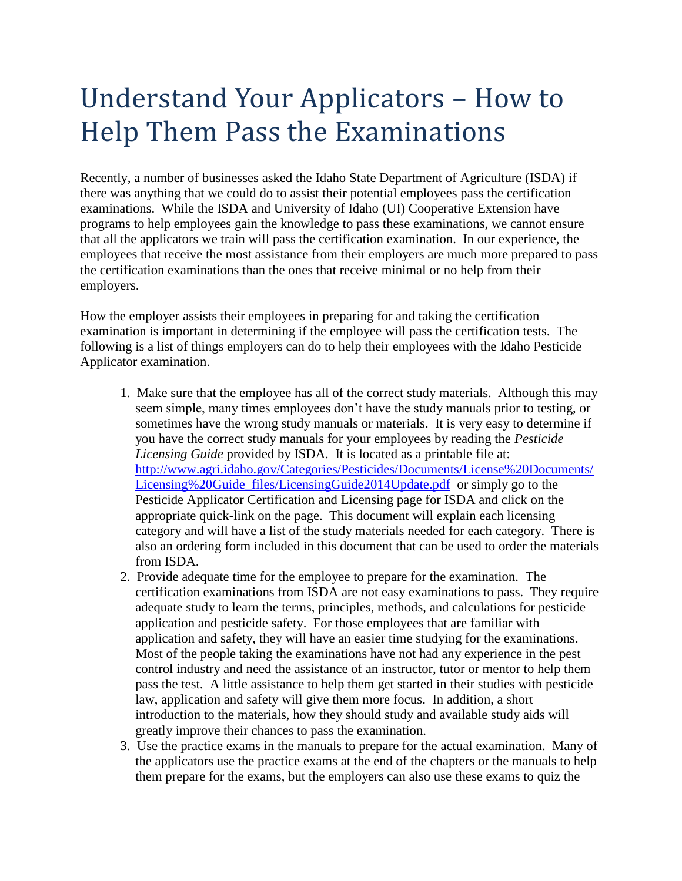## Understand Your Applicators – How to Help Them Pass the Examinations

Recently, a number of businesses asked the Idaho State Department of Agriculture (ISDA) if there was anything that we could do to assist their potential employees pass the certification examinations. While the ISDA and University of Idaho (UI) Cooperative Extension have programs to help employees gain the knowledge to pass these examinations, we cannot ensure that all the applicators we train will pass the certification examination. In our experience, the employees that receive the most assistance from their employers are much more prepared to pass the certification examinations than the ones that receive minimal or no help from their employers.

How the employer assists their employees in preparing for and taking the certification examination is important in determining if the employee will pass the certification tests. The following is a list of things employers can do to help their employees with the Idaho Pesticide Applicator examination.

- 1. Make sure that the employee has all of the correct study materials. Although this may seem simple, many times employees don't have the study manuals prior to testing, or sometimes have the wrong study manuals or materials. It is very easy to determine if you have the correct study manuals for your employees by reading the *Pesticide Licensing Guide* provided by ISDA. It is located as a printable file at: [http://www.agri.idaho.gov/Categories/Pesticides/Documents/License%20Documents/](http://www.agri.idaho.gov/Categories/Pesticides/Documents/License%20Documents/Licensing%20Guide_files/LicensingGuide2014Update.pdf) [Licensing%20Guide\\_files/LicensingGuide2014Update.pdf](http://www.agri.idaho.gov/Categories/Pesticides/Documents/License%20Documents/Licensing%20Guide_files/LicensingGuide2014Update.pdf) or simply go to the Pesticide Applicator Certification and Licensing page for ISDA and click on the appropriate quick-link on the page. This document will explain each licensing category and will have a list of the study materials needed for each category. There is also an ordering form included in this document that can be used to order the materials from ISDA.
- 2. Provide adequate time for the employee to prepare for the examination. The certification examinations from ISDA are not easy examinations to pass. They require adequate study to learn the terms, principles, methods, and calculations for pesticide application and pesticide safety. For those employees that are familiar with application and safety, they will have an easier time studying for the examinations. Most of the people taking the examinations have not had any experience in the pest control industry and need the assistance of an instructor, tutor or mentor to help them pass the test. A little assistance to help them get started in their studies with pesticide law, application and safety will give them more focus. In addition, a short introduction to the materials, how they should study and available study aids will greatly improve their chances to pass the examination.
- 3. Use the practice exams in the manuals to prepare for the actual examination. Many of the applicators use the practice exams at the end of the chapters or the manuals to help them prepare for the exams, but the employers can also use these exams to quiz the